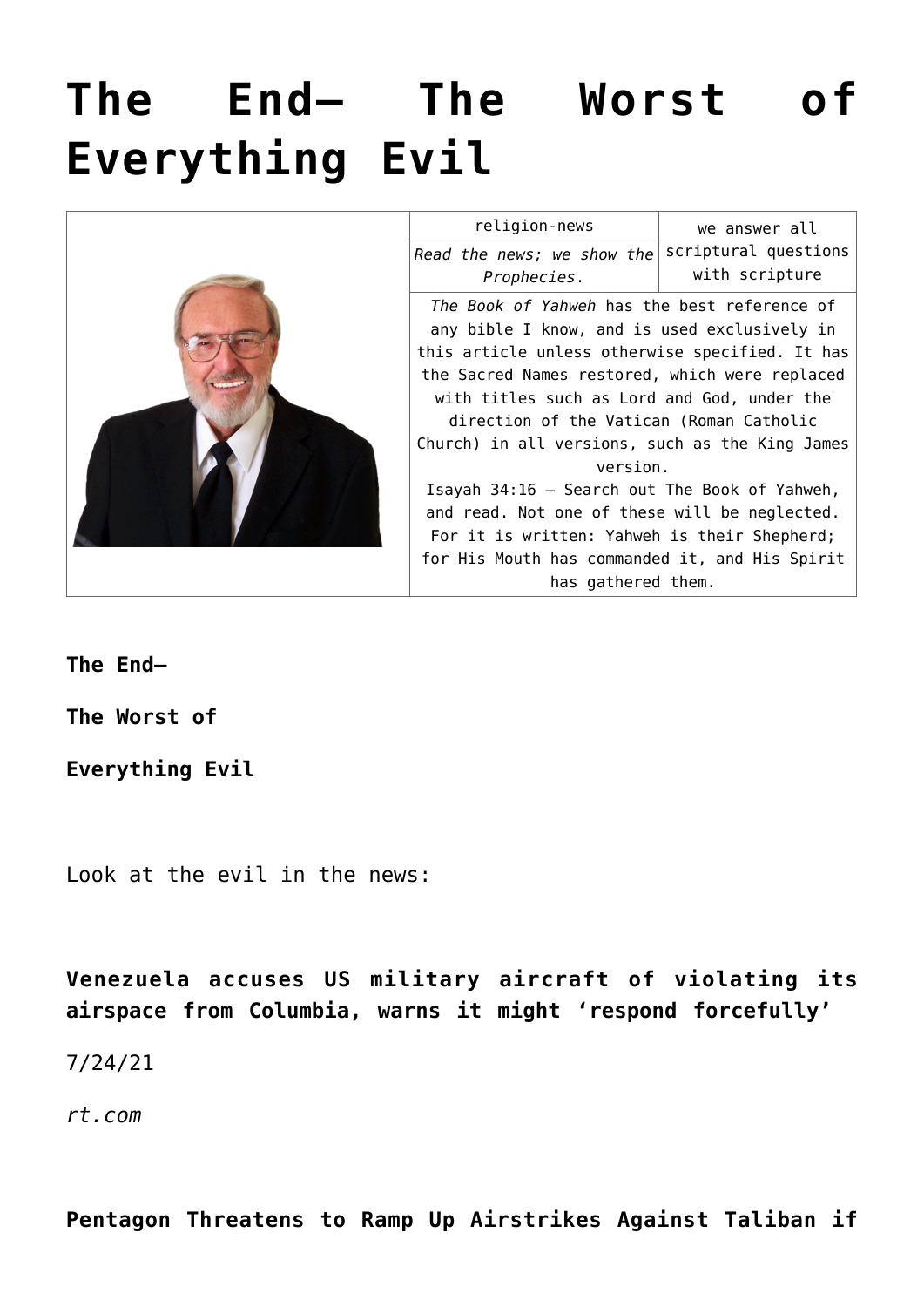# **[The End— The Worst of](https://yahwehsbranch.com/the-end-the-worst-of-everything-evil/) [Everything Evil](https://yahwehsbranch.com/the-end-the-worst-of-everything-evil/)**



| religion-news                                   | we answer all        |
|-------------------------------------------------|----------------------|
| Read the news; we show the                      | scriptural questions |
| Prophecies.                                     | with scripture       |
| The Book of Yahweh has the best reference of    |                      |
| any bible I know, and is used exclusively in    |                      |
| this article unless otherwise specified. It has |                      |
| the Sacred Names restored, which were replaced  |                      |
| with titles such as Lord and God, under the     |                      |
| direction of the Vatican (Roman Catholic        |                      |
| Church) in all versions, such as the King James |                      |
| version.                                        |                      |
| Isayah 34:16 - Search out The Book of Yahweh,   |                      |
| and read. Not one of these will be neglected.   |                      |
| For it is written: Yahweh is their Shepherd;    |                      |
| for His Mouth has commanded it, and His Spirit  |                      |
| has gathered them.                              |                      |

**The End—**

**The Worst of**

**Everything Evil**

Look at the evil in the news:

**Venezuela accuses US military aircraft of violating its airspace from Columbia, warns it might 'respond forcefully'**

7/24/21

*rt.com*

**Pentagon Threatens to Ramp Up Airstrikes Against Taliban if**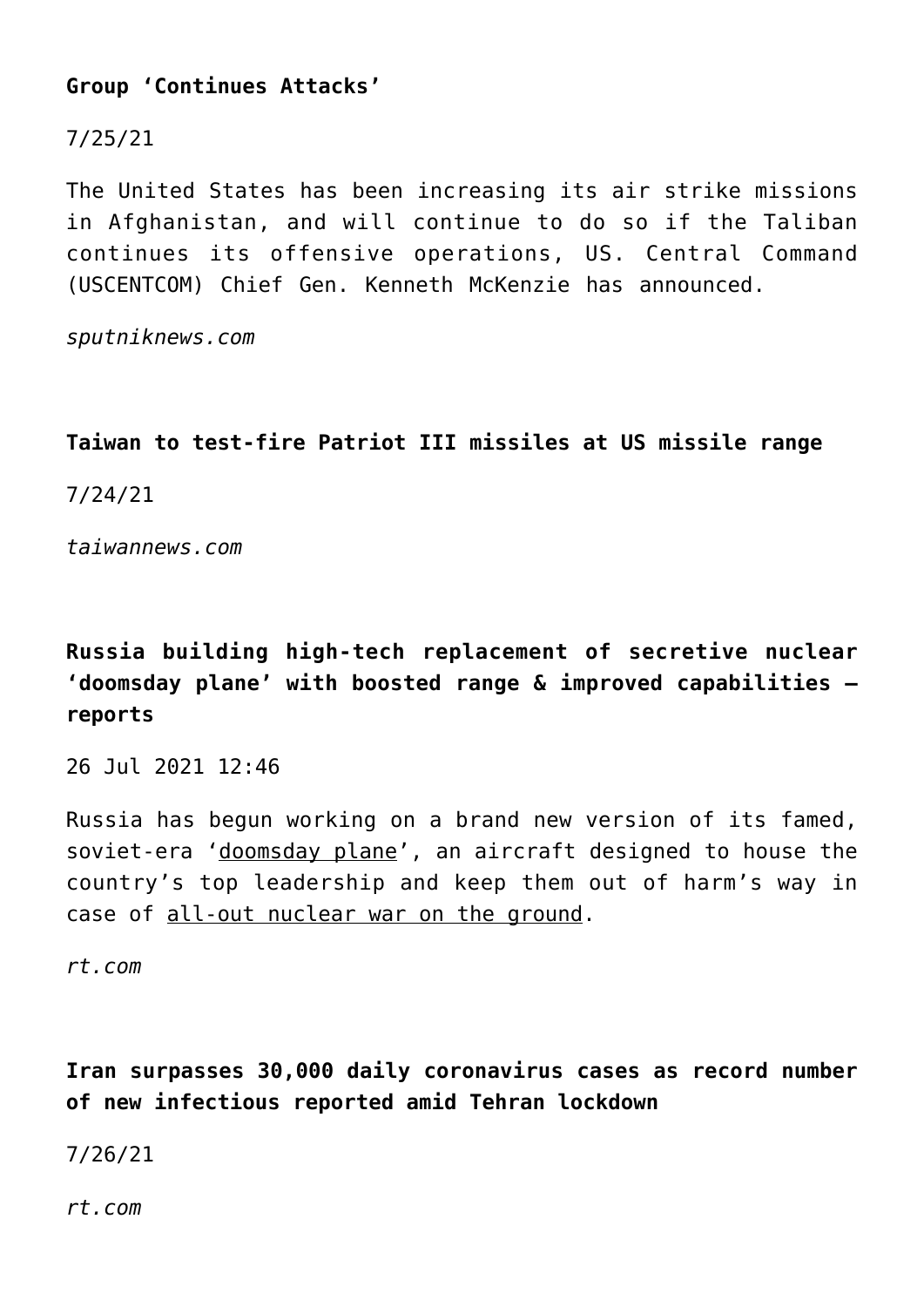# **Group 'Continues Attacks'**

# 7/25/21

The United States has been increasing its air strike missions in Afghanistan, and will continue to do so if the Taliban continues its offensive operations, US. Central Command (USCENTCOM) Chief Gen. Kenneth McKenzie has announced.

*sputniknews.com*

# **Taiwan to test-fire Patriot III missiles at US missile range**

7/24/21

*taiwannews.com*

# **Russia building high-tech replacement of secretive nuclear 'doomsday plane' with boosted range & improved capabilities reports**

26 Jul 2021 12:46

Russia has begun working on a brand new version of its famed, soviet-era 'doomsday plane', an aircraft designed to house the country's top leadership and keep them out of harm's way in case of all-out nuclear war on the ground.

*rt.com*

**Iran surpasses 30,000 daily coronavirus cases as record number of new infectious reported amid Tehran lockdown**

7/26/21

*rt.com*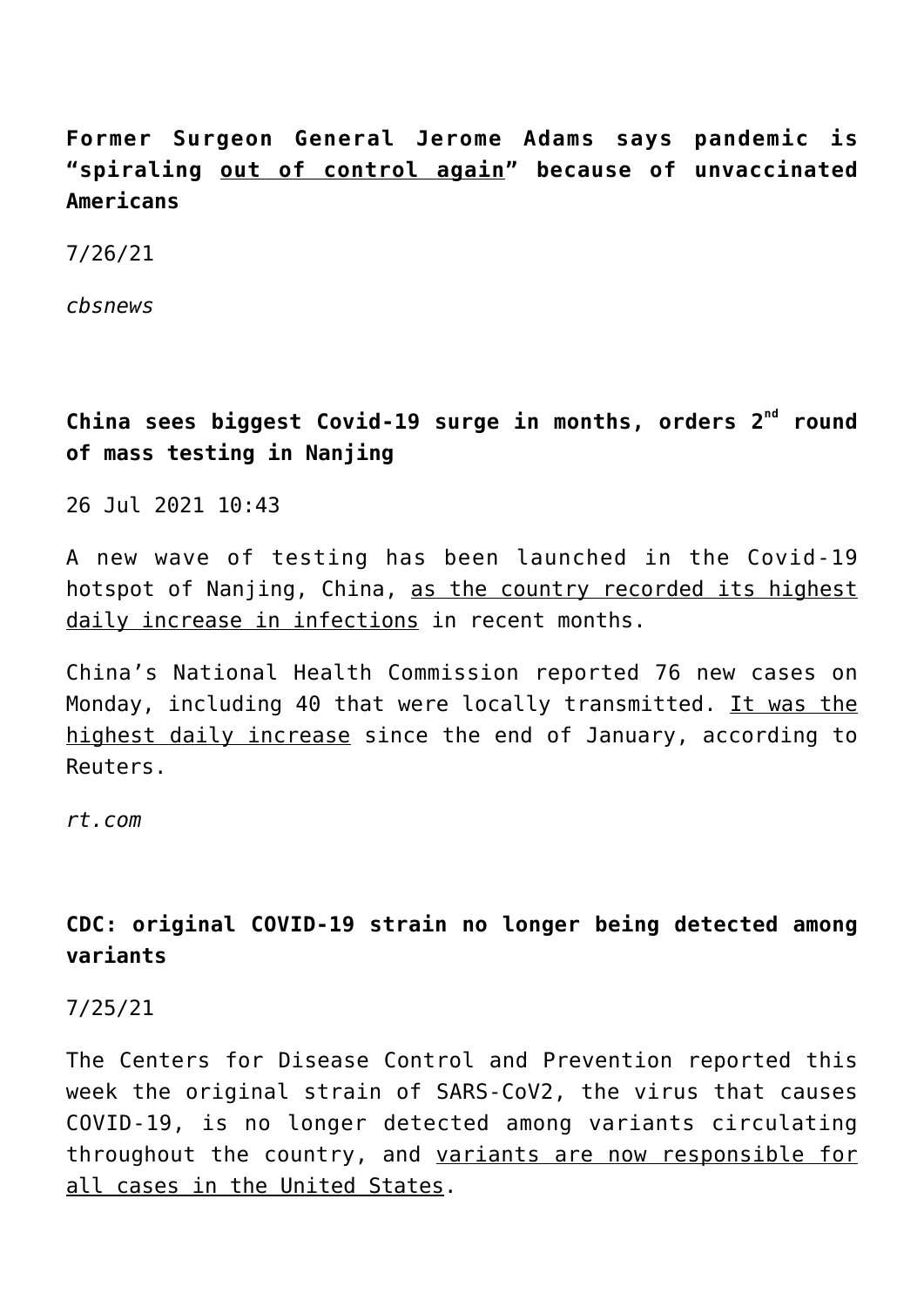**Former Surgeon General Jerome Adams says pandemic is "spiraling out of control again" because of unvaccinated Americans**

7/26/21

*cbsnews*

**China sees biggest Covid-19 surge in months, orders 2nd round of mass testing in Nanjing**

26 Jul 2021 10:43

A new wave of testing has been launched in the Covid-19 hotspot of Nanjing, China, as the country recorded its highest daily increase in infections in recent months.

China's National Health Commission reported 76 new cases on Monday, including 40 that were locally transmitted. It was the highest daily increase since the end of January, according to Reuters.

*rt.com*

# **CDC: original COVID-19 strain no longer being detected among variants**

7/25/21

The Centers for Disease Control and Prevention reported this week the original strain of SARS-CoV2, the virus that causes COVID-19, is no longer detected among variants circulating throughout the country, and variants are now responsible for all cases in the United States.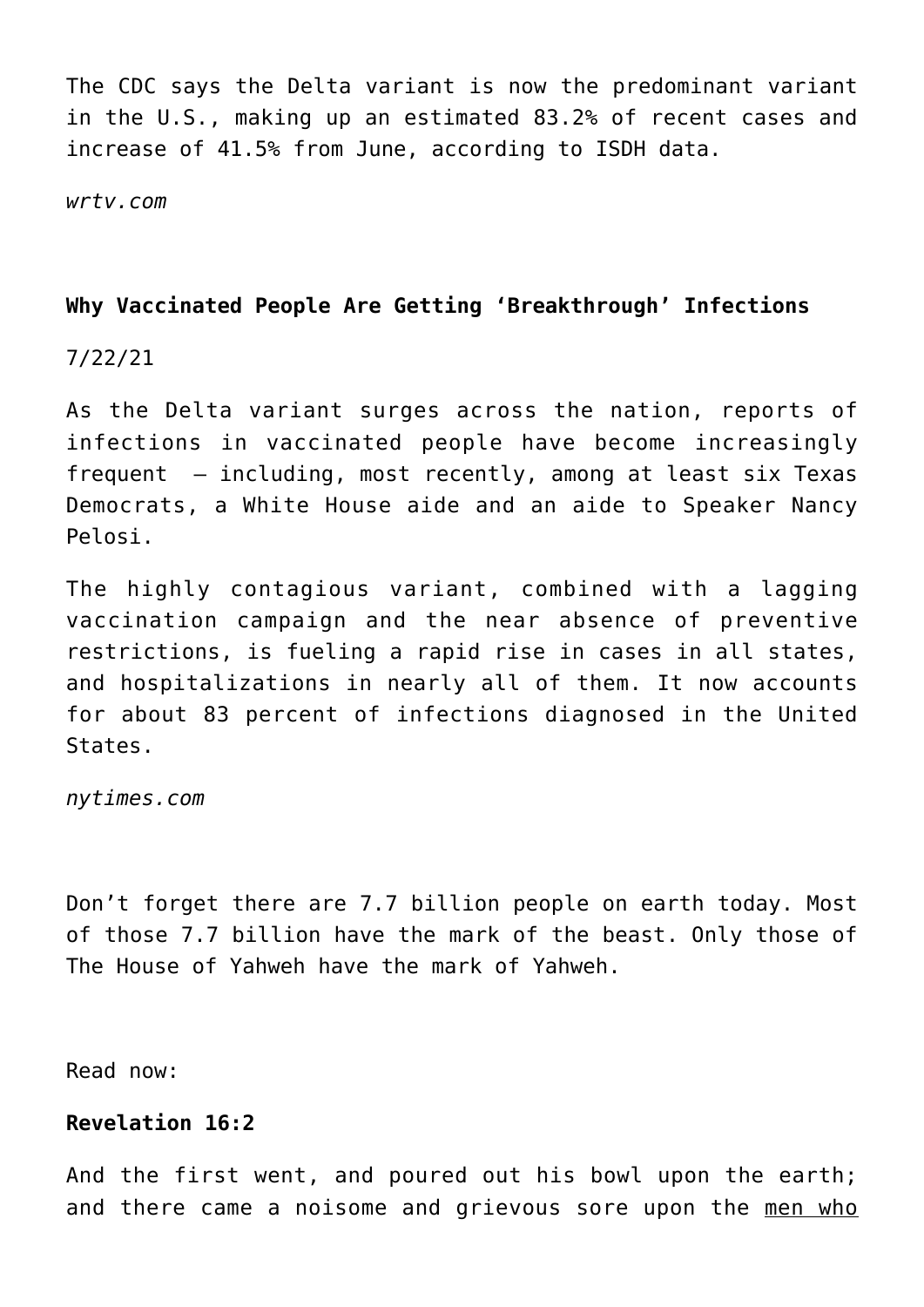The CDC says the Delta variant is now the predominant variant in the U.S., making up an estimated 83.2% of recent cases and increase of 41.5% from June, according to ISDH data.

*wrtv.com*

# **Why Vaccinated People Are Getting 'Breakthrough' Infections**

7/22/21

As the Delta variant surges across the nation, reports of infections in vaccinated people have become increasingly frequent — including, most recently, among at least six Texas Democrats, a White House aide and an aide to Speaker Nancy Pelosi.

The highly contagious variant, combined with a lagging vaccination campaign and the near absence of preventive restrictions, is fueling a rapid rise in cases in all states, and hospitalizations in nearly all of them. It now accounts for about 83 percent of infections diagnosed in the United States.

*nytimes.com*

Don't forget there are 7.7 billion people on earth today. Most of those 7.7 billion have the mark of the beast. Only those of The House of Yahweh have the mark of Yahweh.

Read now:

# **Revelation 16:2**

And the first went, and poured out his bowl upon the earth; and there came a noisome and grievous sore upon the men who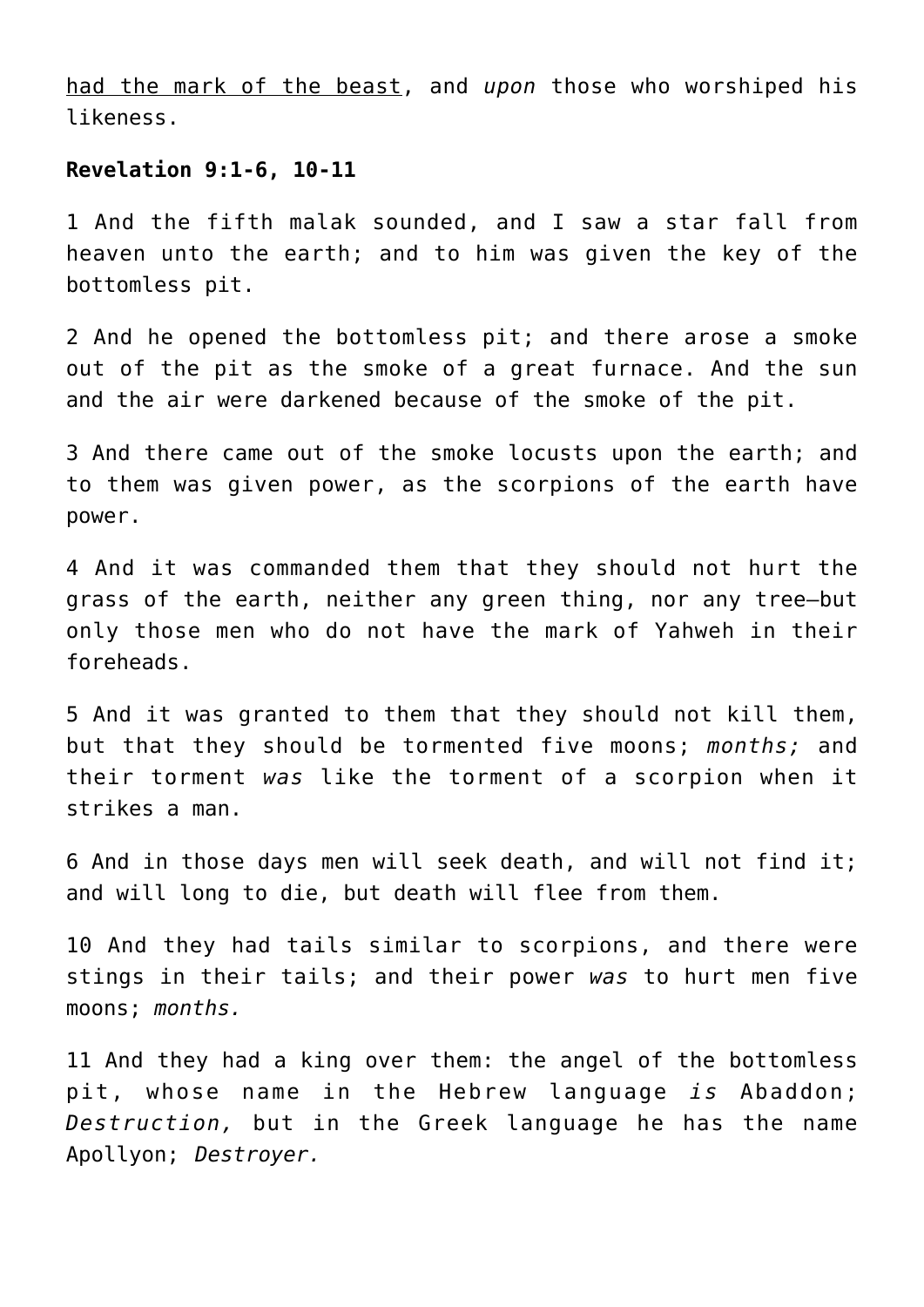had the mark of the beast, and *upon* those who worshiped his likeness.

#### **Revelation 9:1-6, 10-11**

1 And the fifth malak sounded, and I saw a star fall from heaven unto the earth; and to him was given the key of the bottomless pit.

2 And he opened the bottomless pit; and there arose a smoke out of the pit as the smoke of a great furnace. And the sun and the air were darkened because of the smoke of the pit.

3 And there came out of the smoke locusts upon the earth; and to them was given power, as the scorpions of the earth have power.

4 And it was commanded them that they should not hurt the grass of the earth, neither any green thing, nor any tree—but only those men who do not have the mark of Yahweh in their foreheads.

5 And it was granted to them that they should not kill them, but that they should be tormented five moons; *months;* and their torment *was* like the torment of a scorpion when it strikes a man.

6 And in those days men will seek death, and will not find it; and will long to die, but death will flee from them.

10 And they had tails similar to scorpions, and there were stings in their tails; and their power *was* to hurt men five moons; *months.*

11 And they had a king over them: the angel of the bottomless pit, whose name in the Hebrew language *is* Abaddon; *Destruction,* but in the Greek language he has the name Apollyon; *Destroyer.*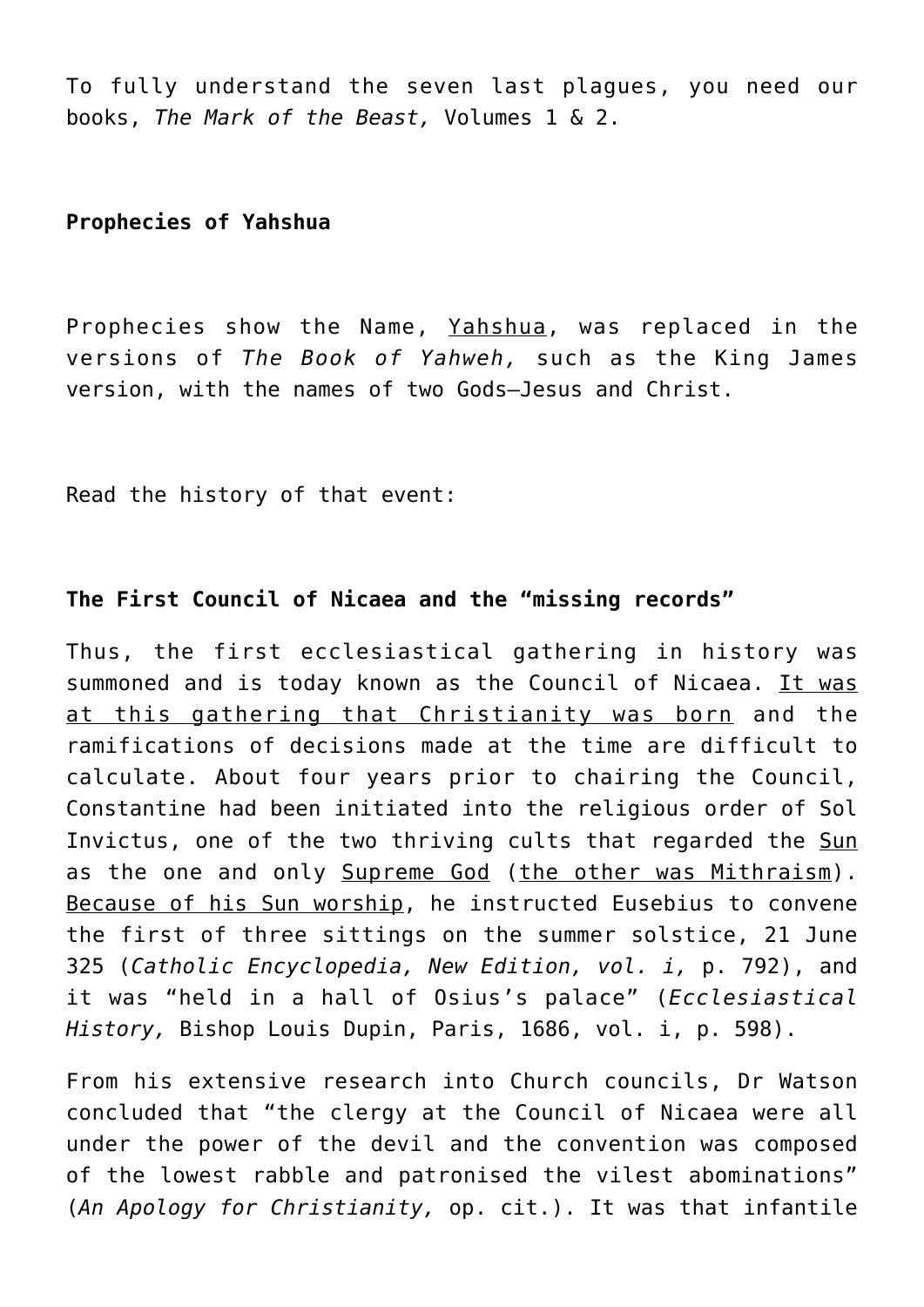To fully understand the seven last plagues, you need our books, *The Mark of the Beast,* Volumes 1 & 2.

**Prophecies of Yahshua**

Prophecies show the Name, Yahshua, was replaced in the versions of *The Book of Yahweh,* such as the King James version, with the names of two Gods—Jesus and Christ.

Read the history of that event:

# **The First Council of Nicaea and the "missing records"**

Thus, the first ecclesiastical gathering in history was summoned and is today known as the Council of Nicaea. It was at this gathering that Christianity was born and the ramifications of decisions made at the time are difficult to calculate. About four years prior to chairing the Council, Constantine had been initiated into the religious order of Sol Invictus, one of the two thriving cults that regarded the Sun as the one and only Supreme God (the other was Mithraism). Because of his Sun worship, he instructed Eusebius to convene the first of three sittings on the summer solstice, 21 June 325 (*Catholic Encyclopedia, New Edition, vol. i,* p. 792), and it was "held in a hall of Osius's palace" (*Ecclesiastical History,* Bishop Louis Dupin, Paris, 1686, vol. i, p. 598).

From his extensive research into Church councils, Dr Watson concluded that "the clergy at the Council of Nicaea were all under the power of the devil and the convention was composed of the lowest rabble and patronised the vilest abominations" (*An Apology for Christianity,* op. cit.). It was that infantile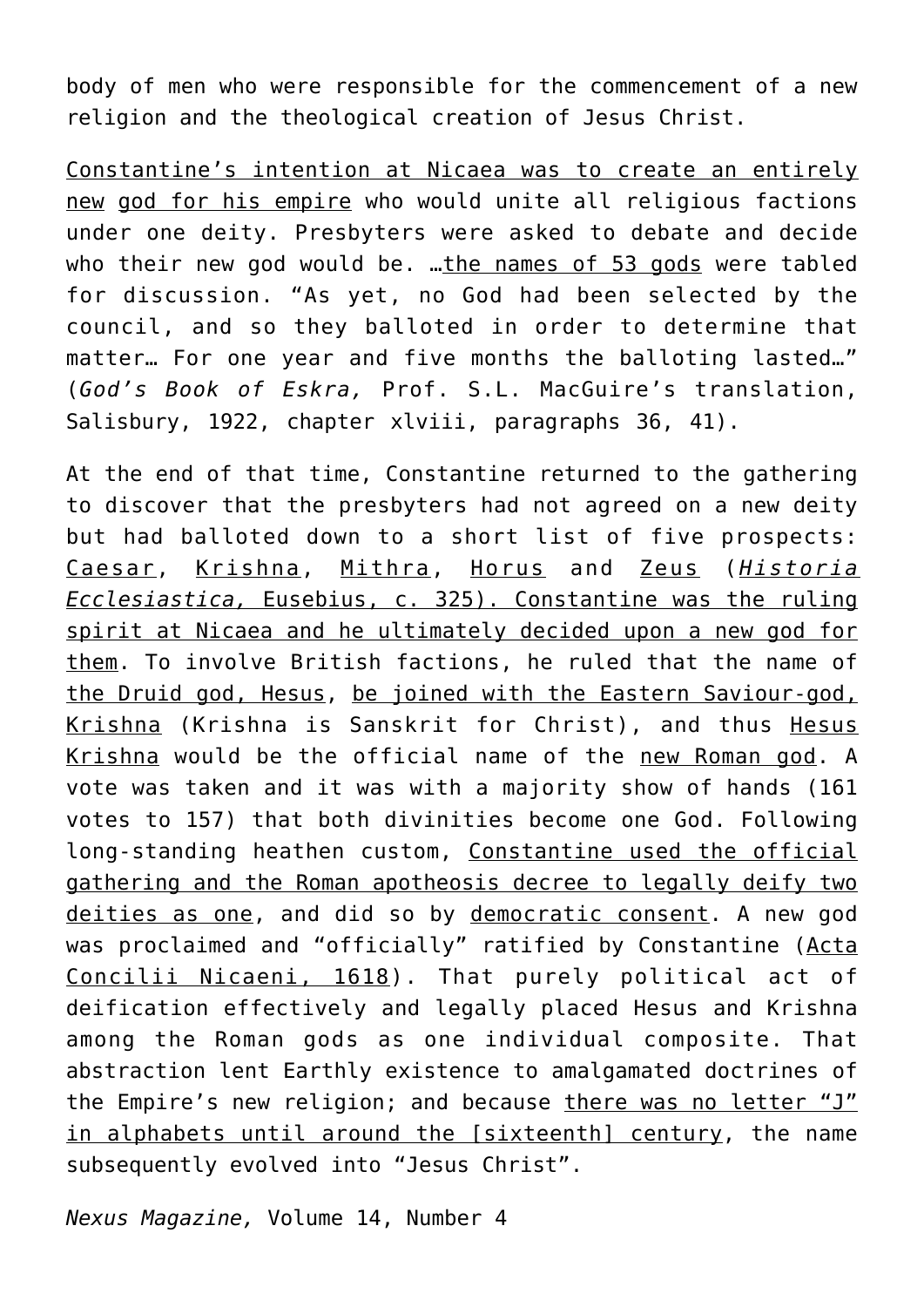body of men who were responsible for the commencement of a new religion and the theological creation of Jesus Christ.

Constantine's intention at Nicaea was to create an entirely new god for his empire who would unite all religious factions under one deity. Presbyters were asked to debate and decide who their new god would be. …the names of 53 gods were tabled for discussion. "As yet, no God had been selected by the council, and so they balloted in order to determine that matter… For one year and five months the balloting lasted…" (*God's Book of Eskra,* Prof. S.L. MacGuire's translation, Salisbury, 1922, chapter xlviii, paragraphs 36, 41).

At the end of that time, Constantine returned to the gathering to discover that the presbyters had not agreed on a new deity but had balloted down to a short list of five prospects: Caesar, Krishna, Mithra, Horus and Zeus (*Historia Ecclesiastica,* Eusebius, c. 325). Constantine was the ruling spirit at Nicaea and he ultimately decided upon a new god for them. To involve British factions, he ruled that the name of the Druid god, Hesus, be joined with the Eastern Saviour-god, Krishna (Krishna is Sanskrit for Christ), and thus Hesus Krishna would be the official name of the new Roman god. A vote was taken and it was with a majority show of hands (161 votes to 157) that both divinities become one God. Following long-standing heathen custom, Constantine used the official gathering and the Roman apotheosis decree to legally deify two deities as one, and did so by democratic consent. A new god was proclaimed and "officially" ratified by Constantine (Acta Concilii Nicaeni, 1618). That purely political act of deification effectively and legally placed Hesus and Krishna among the Roman gods as one individual composite. That abstraction lent Earthly existence to amalgamated doctrines of the Empire's new religion; and because there was no letter "J" in alphabets until around the [sixteenth] century, the name subsequently evolved into "Jesus Christ".

*Nexus Magazine,* Volume 14, Number 4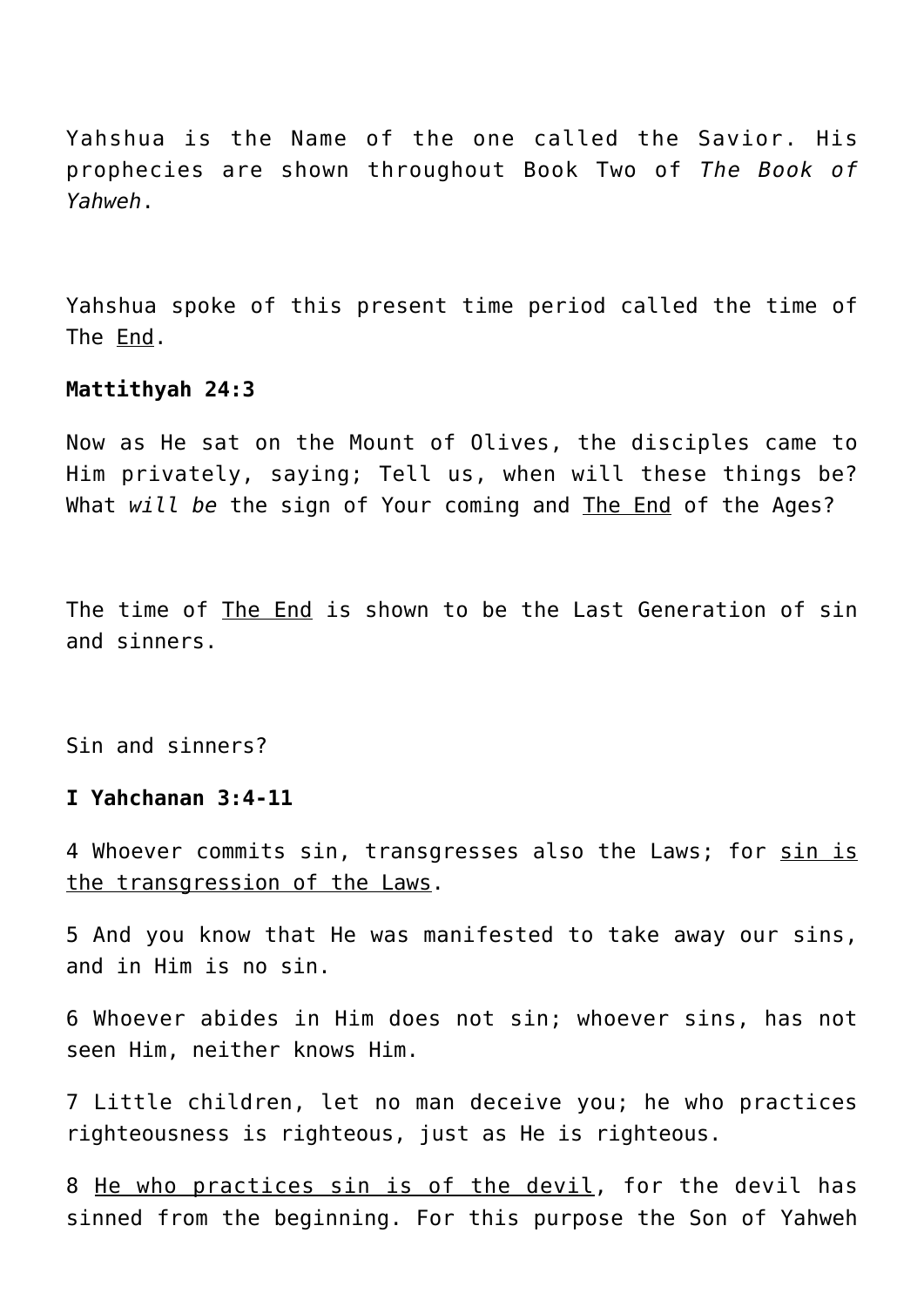Yahshua is the Name of the one called the Savior. His prophecies are shown throughout Book Two of *The Book of Yahweh*.

Yahshua spoke of this present time period called the time of The End.

#### **Mattithyah 24:3**

Now as He sat on the Mount of Olives, the disciples came to Him privately, saying; Tell us, when will these things be? What *will be* the sign of Your coming and The End of the Ages?

The time of The End is shown to be the Last Generation of sin and sinners.

Sin and sinners?

#### **I Yahchanan 3:4-11**

4 Whoever commits sin, transgresses also the Laws; for sin is the transgression of the Laws.

5 And you know that He was manifested to take away our sins, and in Him is no sin.

6 Whoever abides in Him does not sin; whoever sins, has not seen Him, neither knows Him.

7 Little children, let no man deceive you; he who practices righteousness is righteous, just as He is righteous.

8 He who practices sin is of the devil, for the devil has sinned from the beginning. For this purpose the Son of Yahweh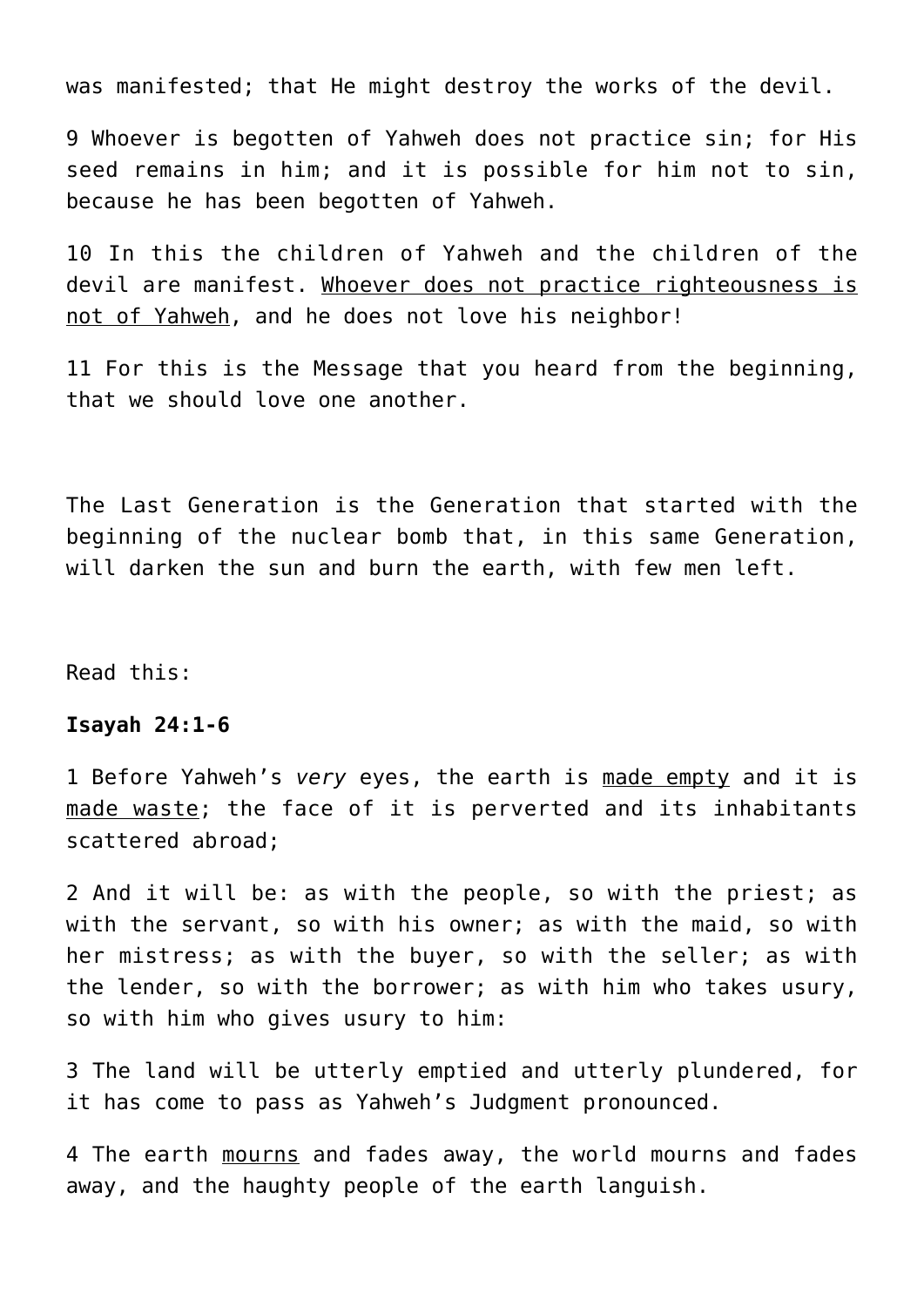was manifested; that He might destroy the works of the devil.

9 Whoever is begotten of Yahweh does not practice sin; for His seed remains in him; and it is possible for him not to sin, because he has been begotten of Yahweh.

10 In this the children of Yahweh and the children of the devil are manifest. Whoever does not practice righteousness is not of Yahweh, and he does not love his neighbor!

11 For this is the Message that you heard from the beginning, that we should love one another.

The Last Generation is the Generation that started with the beginning of the nuclear bomb that, in this same Generation, will darken the sun and burn the earth, with few men left.

Read this:

#### **Isayah 24:1-6**

1 Before Yahweh's *very* eyes, the earth is made empty and it is made waste; the face of it is perverted and its inhabitants scattered abroad;

2 And it will be: as with the people, so with the priest; as with the servant, so with his owner; as with the maid, so with her mistress; as with the buyer, so with the seller; as with the lender, so with the borrower; as with him who takes usury, so with him who gives usury to him:

3 The land will be utterly emptied and utterly plundered, for it has come to pass as Yahweh's Judgment pronounced.

4 The earth mourns and fades away, the world mourns and fades away, and the haughty people of the earth languish.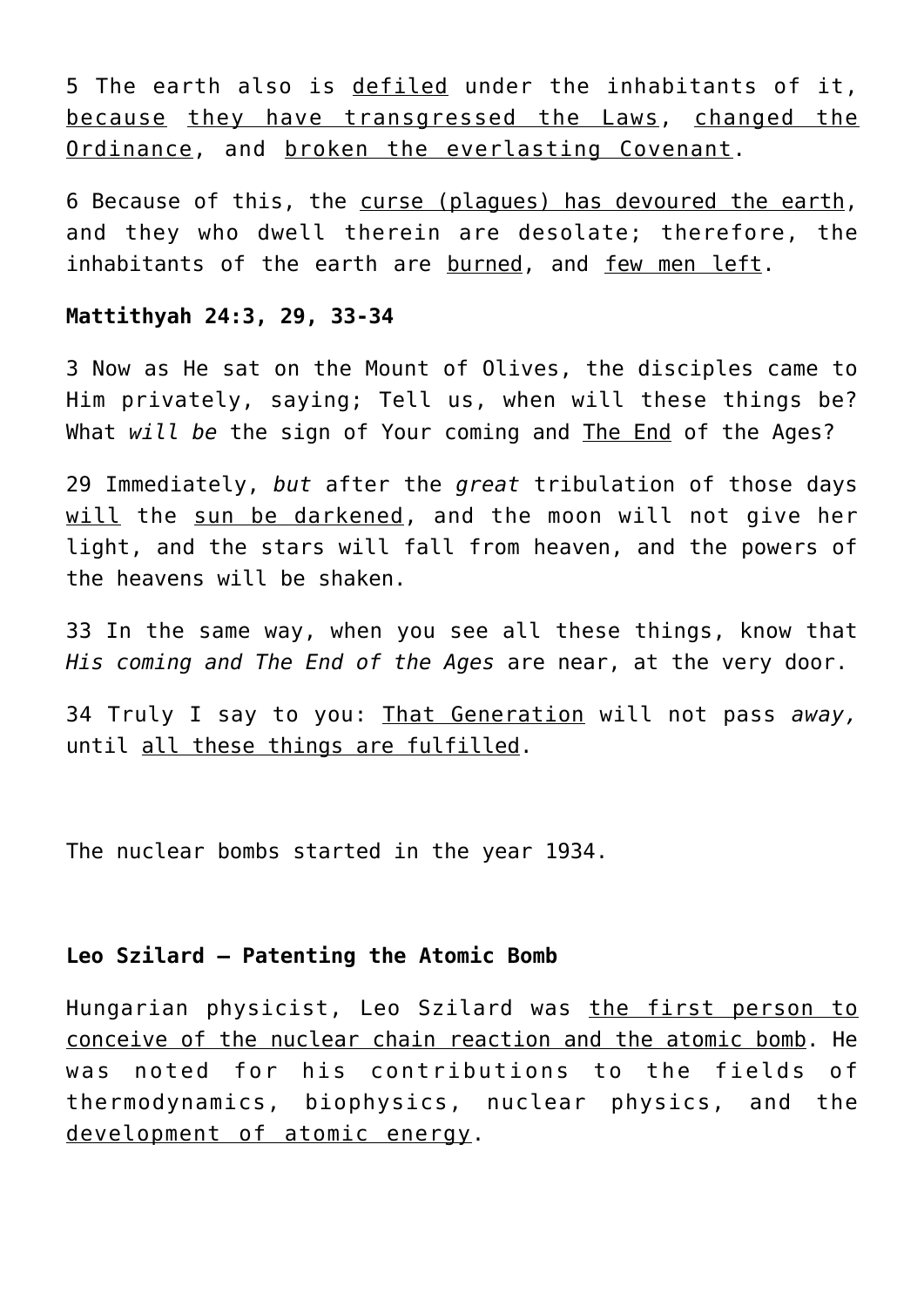5 The earth also is defiled under the inhabitants of it, because they have transgressed the Laws, changed the Ordinance, and broken the everlasting Covenant.

6 Because of this, the curse (plagues) has devoured the earth, and they who dwell therein are desolate; therefore, the inhabitants of the earth are burned, and few men left.

#### **Mattithyah 24:3, 29, 33-34**

3 Now as He sat on the Mount of Olives, the disciples came to Him privately, saying; Tell us, when will these things be? What *will be* the sign of Your coming and The End of the Ages?

29 Immediately, *but* after the *great* tribulation of those days will the sun be darkened, and the moon will not give her light, and the stars will fall from heaven, and the powers of the heavens will be shaken.

33 In the same way, when you see all these things, know that *His coming and The End of the Ages* are near, at the very door.

34 Truly I say to you: That Generation will not pass *away,* until all these things are fulfilled.

The nuclear bombs started in the year 1934.

## **Leo Szilard – Patenting the Atomic Bomb**

Hungarian physicist, Leo Szilard was the first person to conceive of the nuclear chain reaction and the atomic bomb. He was noted for his contributions to the fields of thermodynamics, biophysics, nuclear physics, and the development of atomic energy.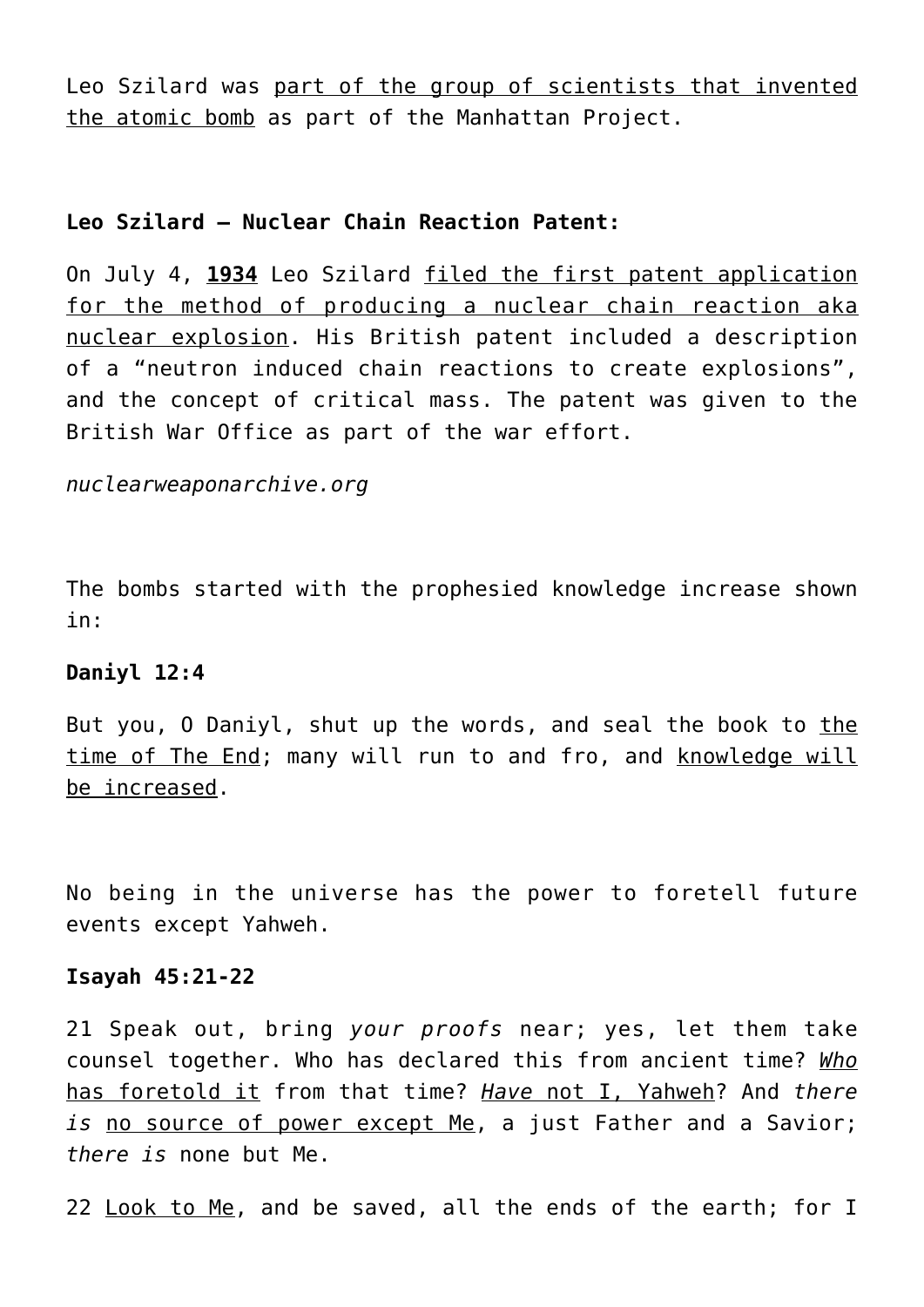Leo Szilard was part of the group of scientists that invented the atomic bomb as part of the Manhattan Project.

## **Leo Szilard – Nuclear Chain Reaction Patent:**

On July 4, **1934** Leo Szilard filed the first patent application for the method of producing a nuclear chain reaction aka nuclear explosion. His British patent included a description of a "neutron induced chain reactions to create explosions", and the concept of critical mass. The patent was given to the British War Office as part of the war effort.

*nuclearweaponarchive.org*

The bombs started with the prophesied knowledge increase shown in:

#### **Daniyl 12:4**

But you, O Daniyl, shut up the words, and seal the book to the time of The End; many will run to and fro, and knowledge will be increased.

No being in the universe has the power to foretell future events except Yahweh.

#### **Isayah 45:21-22**

21 Speak out, bring *your proofs* near; yes, let them take counsel together. Who has declared this from ancient time? *Who* has foretold it from that time? *Have* not I, Yahweh? And *there is* no source of power except Me, a just Father and a Savior; *there is* none but Me.

22 Look to Me, and be saved, all the ends of the earth; for I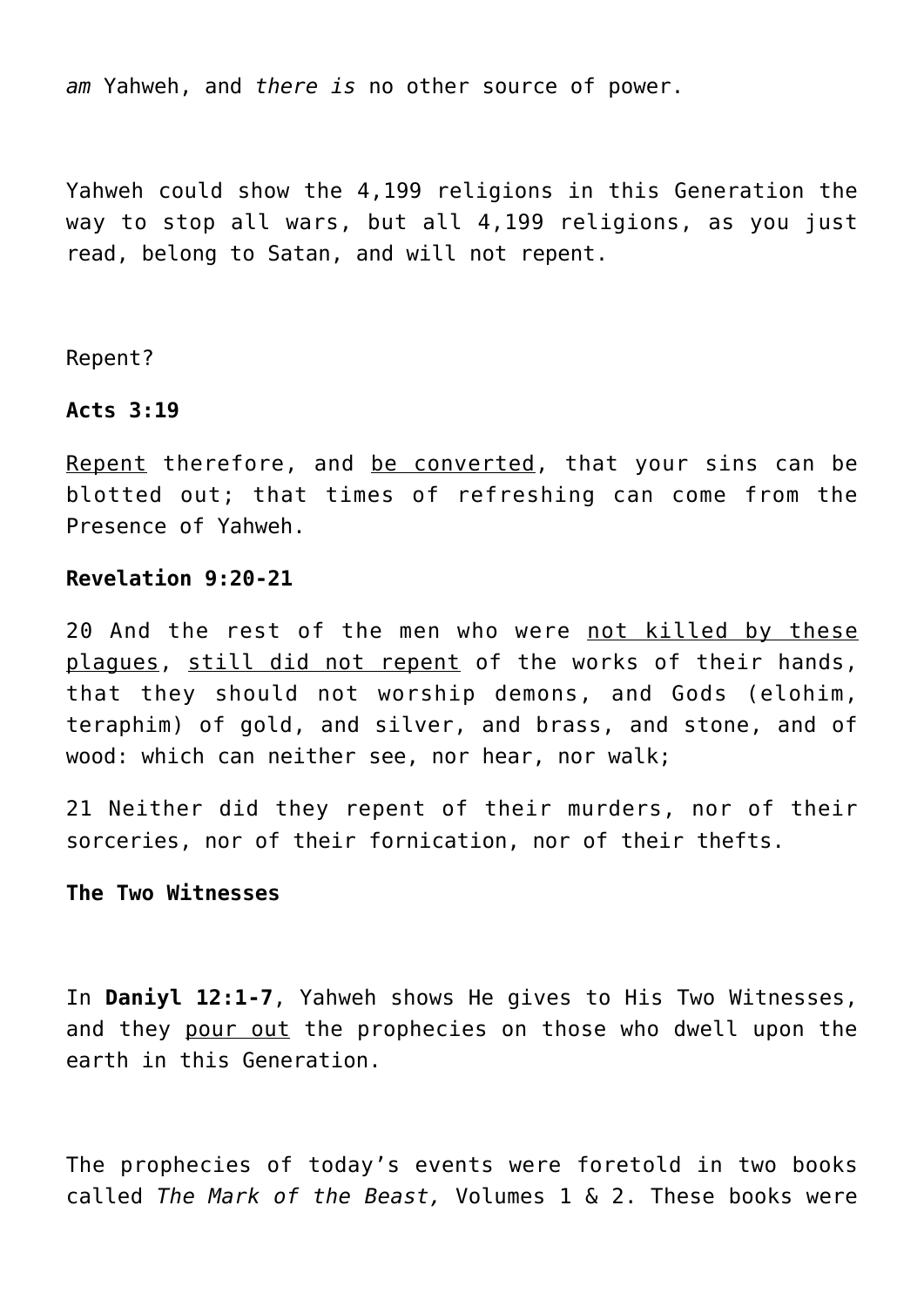*am* Yahweh, and *there is* no other source of power.

Yahweh could show the 4,199 religions in this Generation the way to stop all wars, but all 4,199 religions, as you just read, belong to Satan, and will not repent.

Repent?

#### **Acts 3:19**

Repent therefore, and be converted, that your sins can be blotted out; that times of refreshing can come from the Presence of Yahweh.

#### **Revelation 9:20-21**

20 And the rest of the men who were not killed by these plagues, still did not repent of the works of their hands, that they should not worship demons, and Gods (elohim, teraphim) of gold, and silver, and brass, and stone, and of wood: which can neither see, nor hear, nor walk;

21 Neither did they repent of their murders, nor of their sorceries, nor of their fornication, nor of their thefts.

#### **The Two Witnesses**

In **Daniyl 12:1-7**, Yahweh shows He gives to His Two Witnesses, and they pour out the prophecies on those who dwell upon the earth in this Generation.

The prophecies of today's events were foretold in two books called *The Mark of the Beast,* Volumes 1 & 2. These books were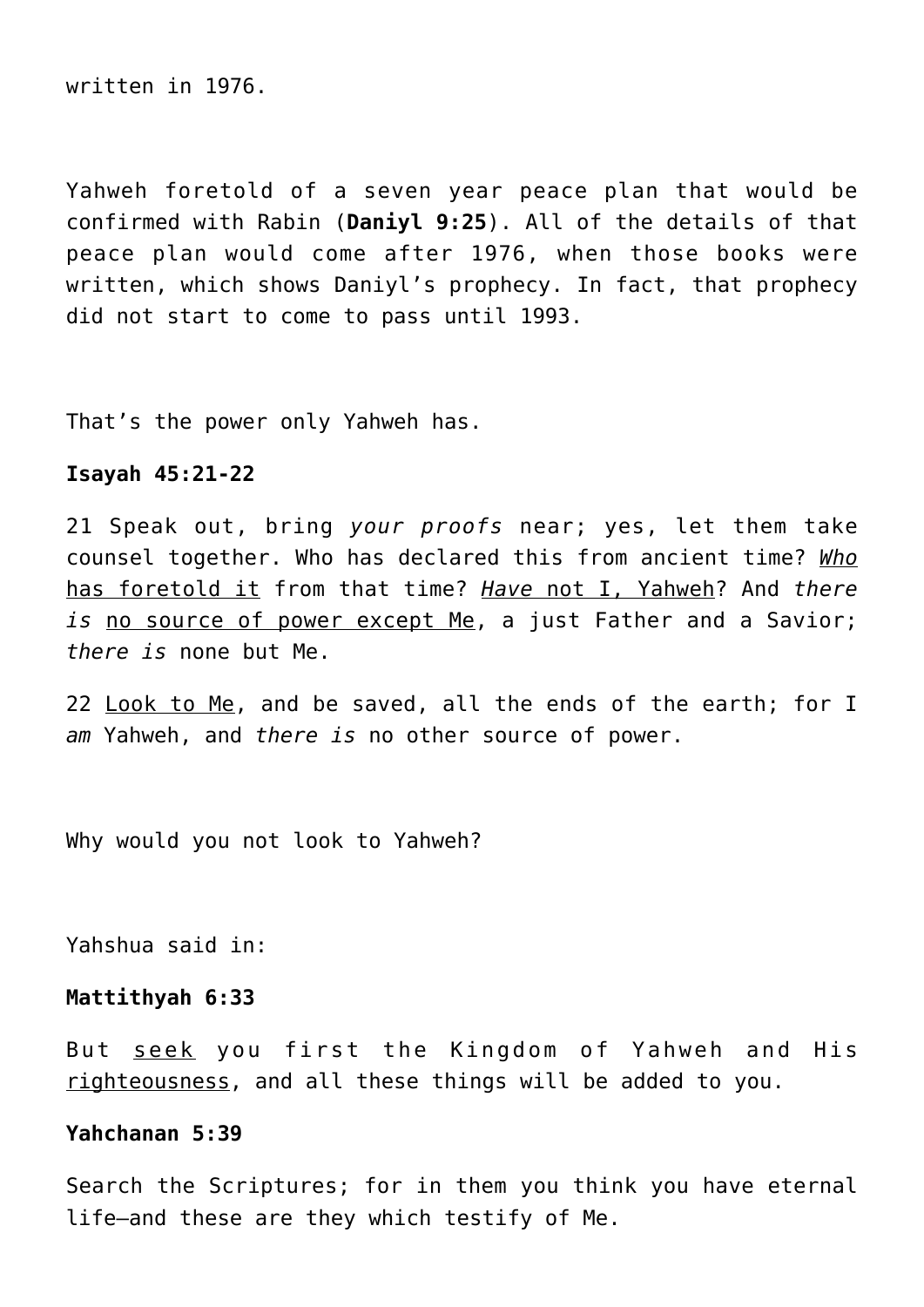written in 1976.

Yahweh foretold of a seven year peace plan that would be confirmed with Rabin (**Daniyl 9:25**). All of the details of that peace plan would come after 1976, when those books were written, which shows Daniyl's prophecy. In fact, that prophecy did not start to come to pass until 1993.

That's the power only Yahweh has.

#### **Isayah 45:21-22**

21 Speak out, bring *your proofs* near; yes, let them take counsel together. Who has declared this from ancient time? *Who* has foretold it from that time? *Have* not I, Yahweh? And *there is* no source of power except Me, a just Father and a Savior; *there is* none but Me.

22 Look to Me, and be saved, all the ends of the earth; for I *am* Yahweh, and *there is* no other source of power.

Why would you not look to Yahweh?

Yahshua said in:

#### **Mattithyah 6:33**

But seek you first the Kingdom of Yahweh and His righteousness, and all these things will be added to you.

#### **Yahchanan 5:39**

Search the Scriptures; for in them you think you have eternal life—and these are they which testify of Me.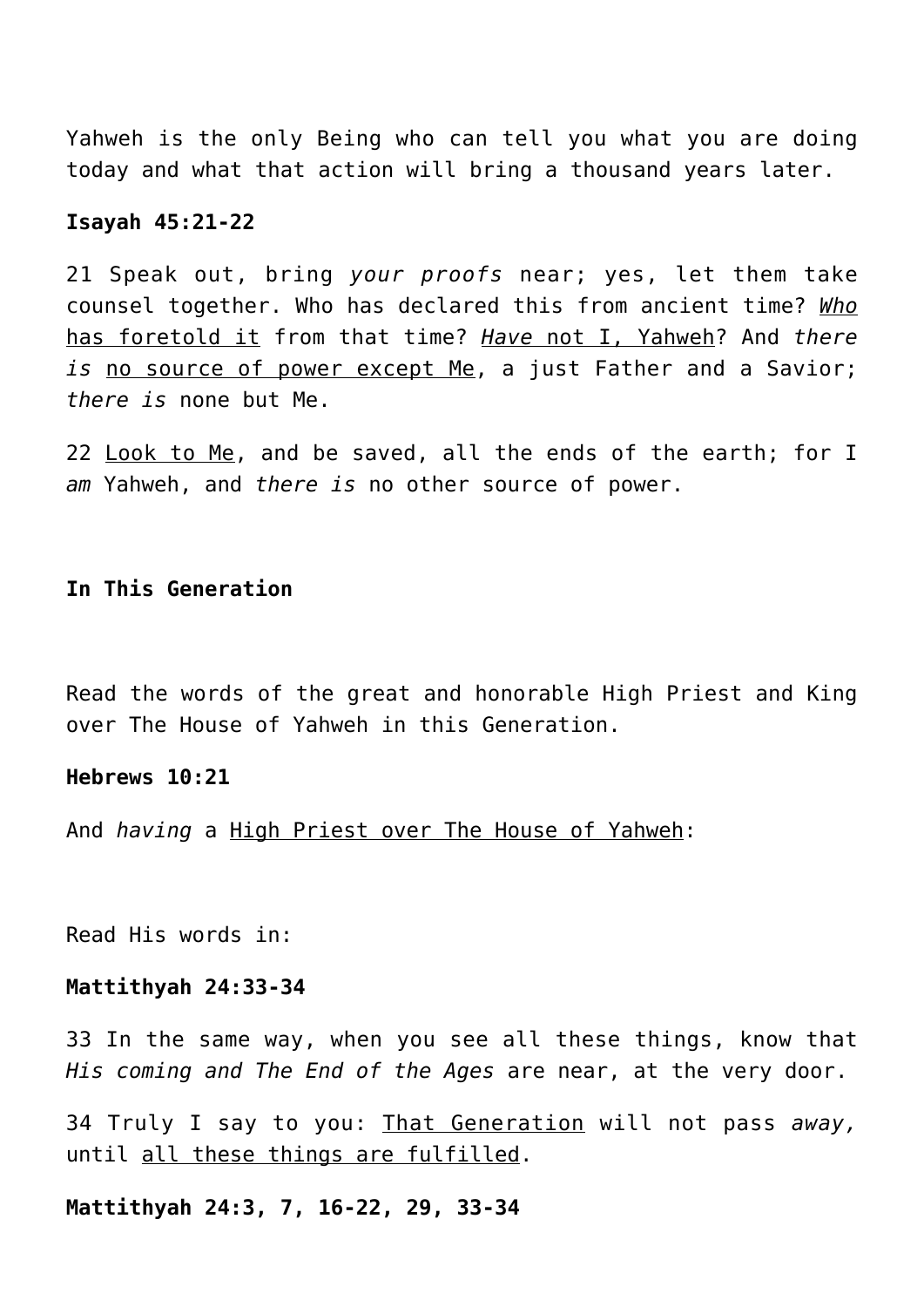Yahweh is the only Being who can tell you what you are doing today and what that action will bring a thousand years later.

#### **Isayah 45:21-22**

21 Speak out, bring *your proofs* near; yes, let them take counsel together. Who has declared this from ancient time? *Who* has foretold it from that time? *Have* not I, Yahweh? And *there is* no source of power except Me, a just Father and a Savior; *there is* none but Me.

22 Look to Me, and be saved, all the ends of the earth; for I *am* Yahweh, and *there is* no other source of power.

#### **In This Generation**

Read the words of the great and honorable High Priest and King over The House of Yahweh in this Generation.

#### **Hebrews 10:21**

And *having* a High Priest over The House of Yahweh:

Read His words in:

#### **Mattithyah 24:33-34**

33 In the same way, when you see all these things, know that *His coming and The End of the Ages* are near, at the very door.

34 Truly I say to you: That Generation will not pass *away,* until all these things are fulfilled.

**Mattithyah 24:3, 7, 16-22, 29, 33-34**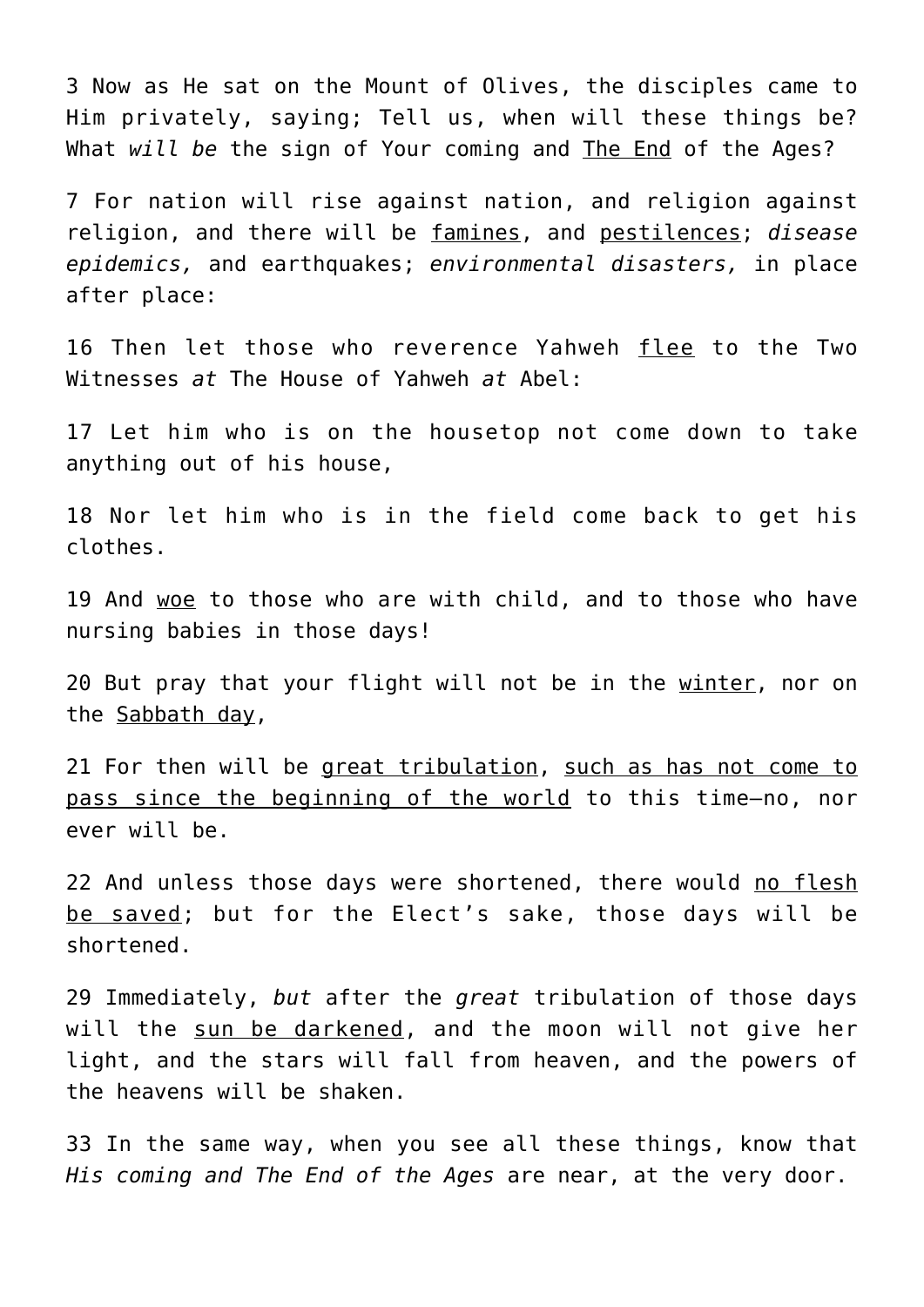3 Now as He sat on the Mount of Olives, the disciples came to Him privately, saying; Tell us, when will these things be? What *will be* the sign of Your coming and The End of the Ages?

7 For nation will rise against nation, and religion against religion, and there will be famines, and pestilences; *disease epidemics,* and earthquakes; *environmental disasters,* in place after place:

16 Then let those who reverence Yahweh flee to the Two Witnesses *at* The House of Yahweh *at* Abel:

17 Let him who is on the housetop not come down to take anything out of his house,

18 Nor let him who is in the field come back to get his clothes.

19 And woe to those who are with child, and to those who have nursing babies in those days!

20 But pray that your flight will not be in the winter, nor on the Sabbath day,

21 For then will be great tribulation, such as has not come to pass since the beginning of the world to this time—no, nor ever will be.

22 And unless those days were shortened, there would no flesh be saved; but for the Elect's sake, those days will be shortened.

29 Immediately, *but* after the *great* tribulation of those days will the sun be darkened, and the moon will not give her light, and the stars will fall from heaven, and the powers of the heavens will be shaken.

33 In the same way, when you see all these things, know that *His coming and The End of the Ages* are near, at the very door.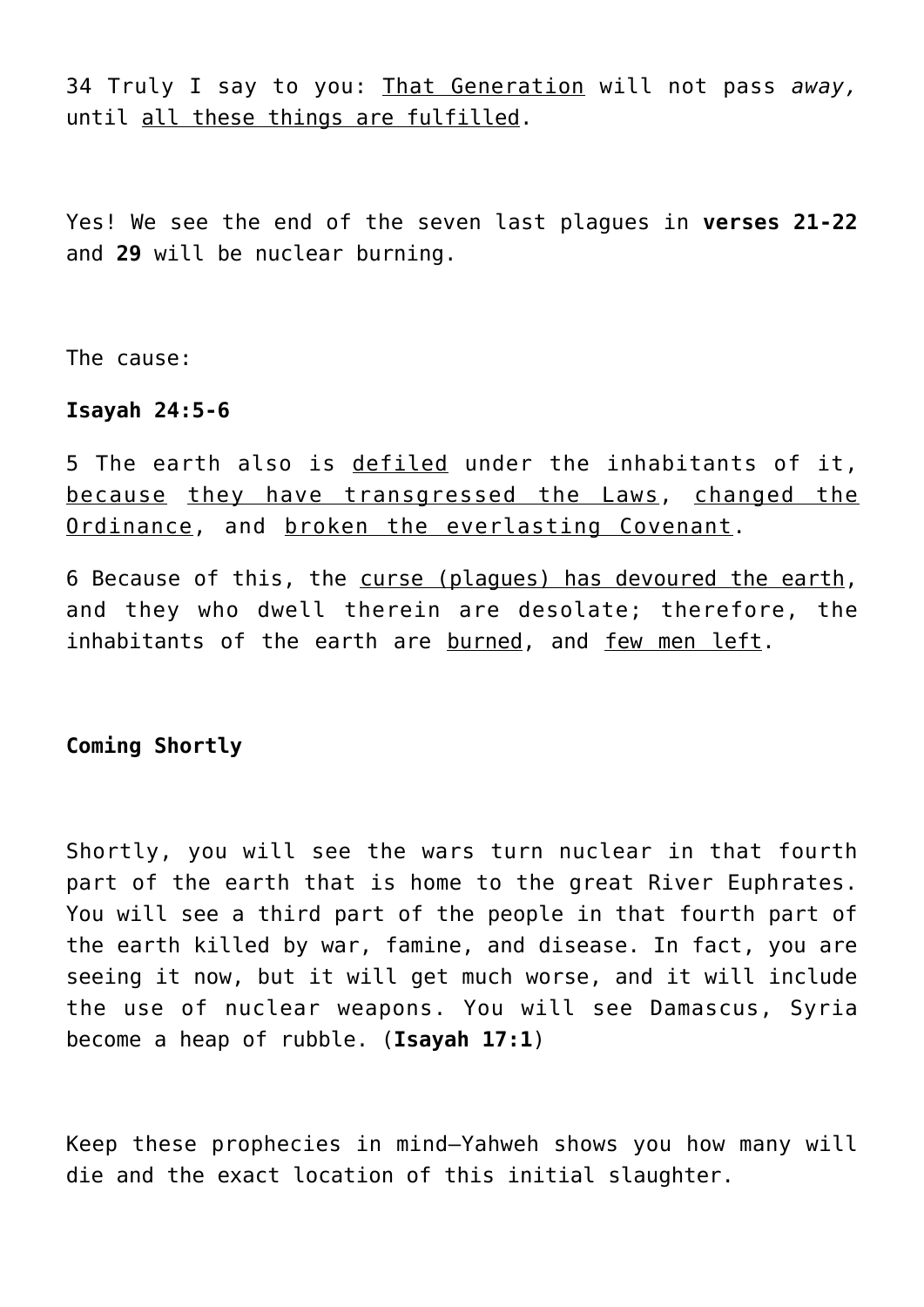34 Truly I say to you: That Generation will not pass *away,* until all these things are fulfilled.

Yes! We see the end of the seven last plagues in **verses 21-22** and **29** will be nuclear burning.

The cause:

#### **Isayah 24:5-6**

5 The earth also is defiled under the inhabitants of it, because they have transgressed the Laws, changed the Ordinance, and broken the everlasting Covenant.

6 Because of this, the curse (plagues) has devoured the earth, and they who dwell therein are desolate; therefore, the inhabitants of the earth are burned, and few men left.

**Coming Shortly**

Shortly, you will see the wars turn nuclear in that fourth part of the earth that is home to the great River Euphrates. You will see a third part of the people in that fourth part of the earth killed by war, famine, and disease. In fact, you are seeing it now, but it will get much worse, and it will include the use of nuclear weapons. You will see Damascus, Syria become a heap of rubble. (**Isayah 17:1**)

Keep these prophecies in mind—Yahweh shows you how many will die and the exact location of this initial slaughter.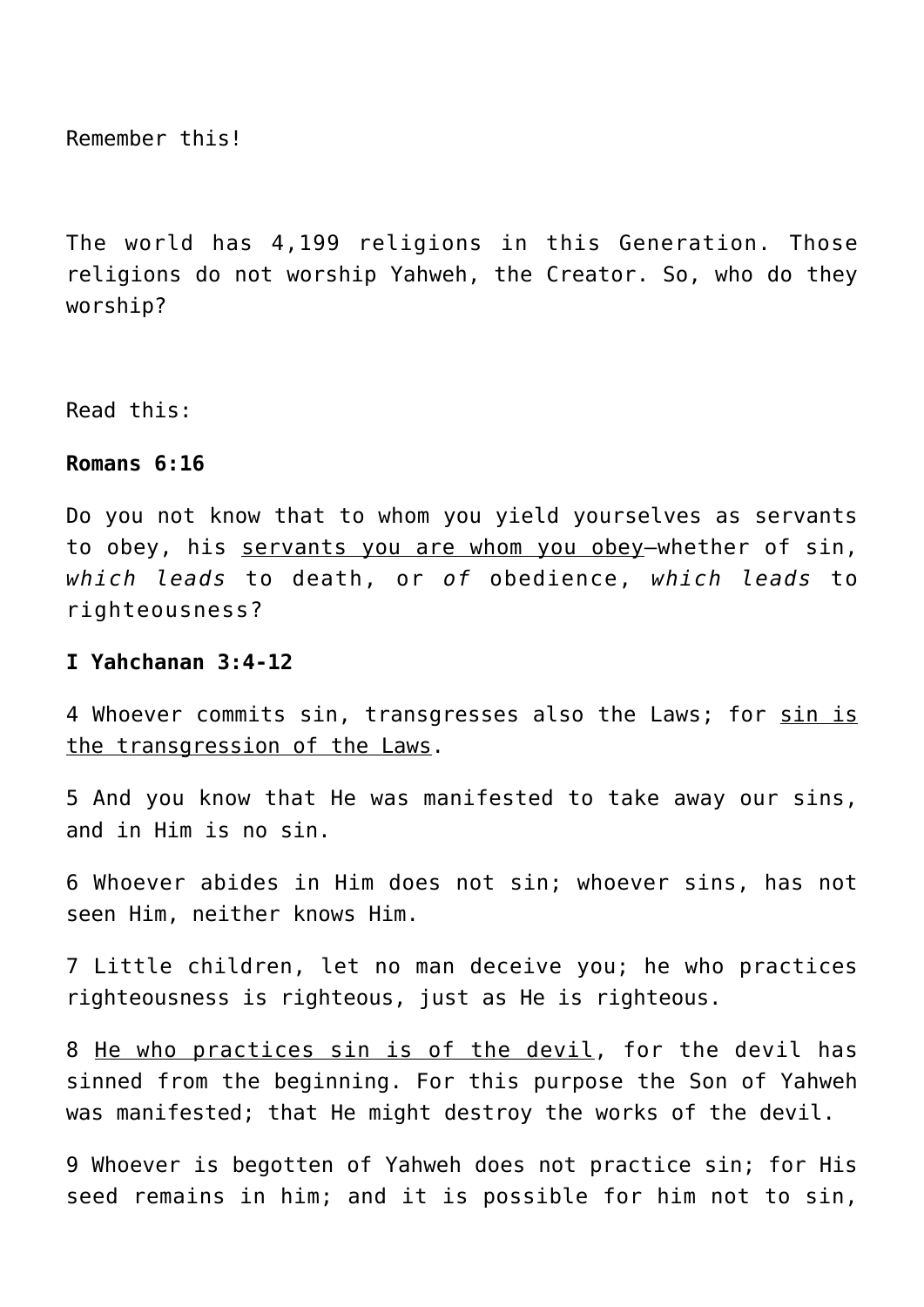Remember this!

The world has 4,199 religions in this Generation. Those religions do not worship Yahweh, the Creator. So, who do they worship?

Read this:

#### **Romans 6:16**

Do you not know that to whom you yield yourselves as servants to obey, his servants you are whom you obey—whether of sin, *which leads* to death, or *of* obedience, *which leads* to righteousness?

#### **I Yahchanan 3:4-12**

4 Whoever commits sin, transgresses also the Laws; for sin is the transgression of the Laws.

5 And you know that He was manifested to take away our sins, and in Him is no sin.

6 Whoever abides in Him does not sin; whoever sins, has not seen Him, neither knows Him.

7 Little children, let no man deceive you; he who practices righteousness is righteous, just as He is righteous.

8 He who practices sin is of the devil, for the devil has sinned from the beginning. For this purpose the Son of Yahweh was manifested; that He might destroy the works of the devil.

9 Whoever is begotten of Yahweh does not practice sin; for His seed remains in him; and it is possible for him not to sin,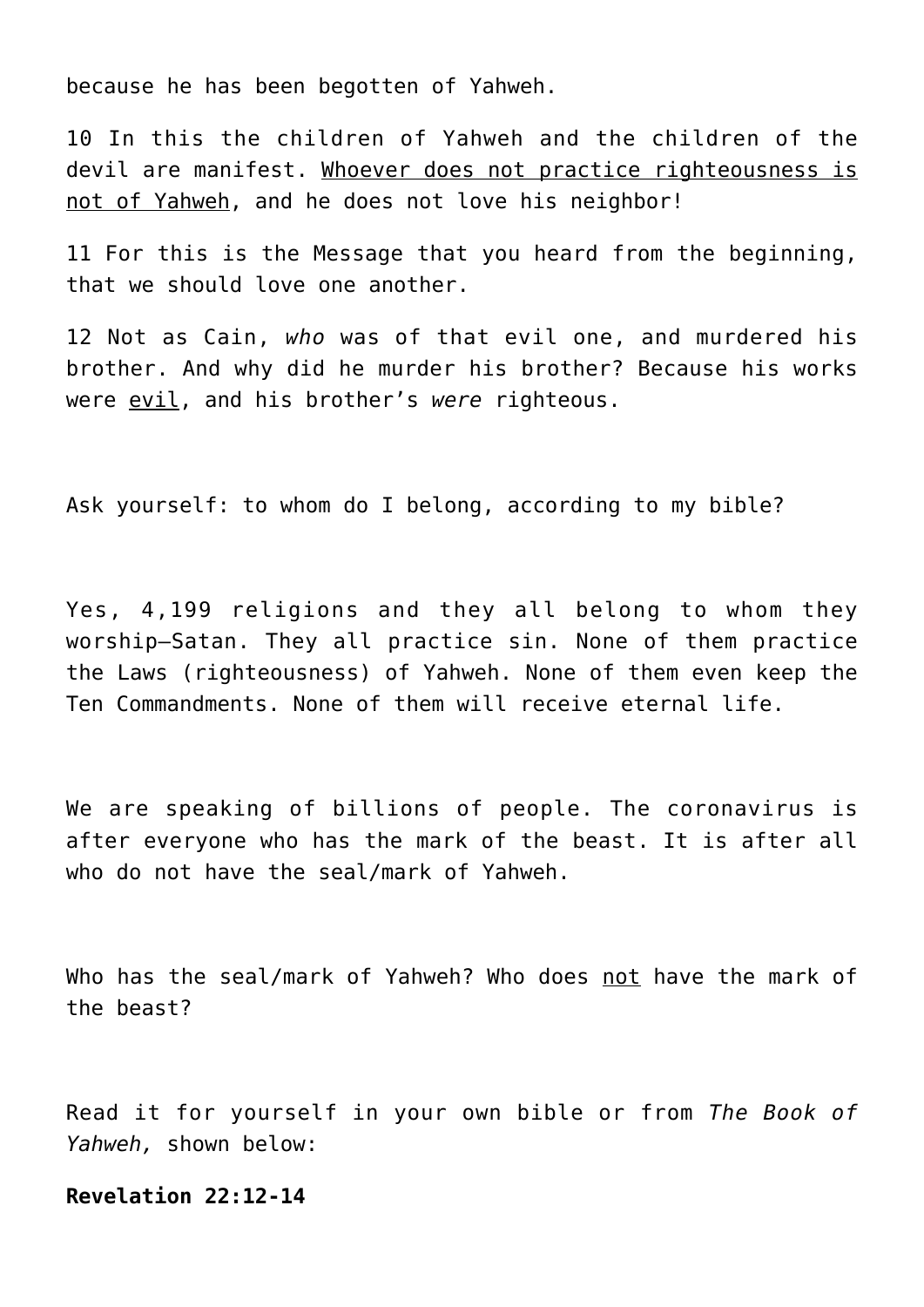because he has been begotten of Yahweh.

10 In this the children of Yahweh and the children of the devil are manifest. Whoever does not practice righteousness is not of Yahweh, and he does not love his neighbor!

11 For this is the Message that you heard from the beginning, that we should love one another.

12 Not as Cain, *who* was of that evil one, and murdered his brother. And why did he murder his brother? Because his works were evil, and his brother's *were* righteous.

Ask yourself: to whom do I belong, according to my bible?

Yes, 4,199 religions and they all belong to whom they worship—Satan. They all practice sin. None of them practice the Laws (righteousness) of Yahweh. None of them even keep the Ten Commandments. None of them will receive eternal life.

We are speaking of billions of people. The coronavirus is after everyone who has the mark of the beast. It is after all who do not have the seal/mark of Yahweh.

Who has the seal/mark of Yahweh? Who does not have the mark of the beast?

Read it for yourself in your own bible or from *The Book of Yahweh,* shown below:

# **Revelation 22:12-14**